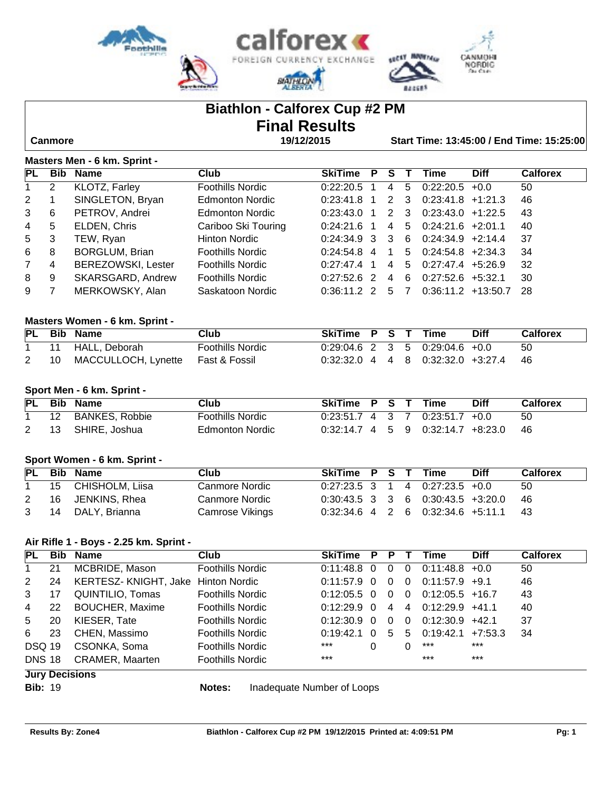

# **Biathlon - Calforex Cup #2 PM Final Results**

 **Canmore 19/12/2015 Start Time: 13:45:00 / End Time: 15:25:00**

### **Masters Men - 6 km. Sprint -**

| <b>PL</b>      | <b>Bib</b>     | <b>Name</b>               | Club                    | <b>SkiTime</b> | P.             | S.             | $\mathbf{T}$ | Time                    | <b>Diff</b> | <b>Calforex</b> |
|----------------|----------------|---------------------------|-------------------------|----------------|----------------|----------------|--------------|-------------------------|-------------|-----------------|
| 1              | $\overline{2}$ | KLOTZ, Farley             | <b>Foothills Nordic</b> | 0:22:20.5      |                |                | 4 5          | $0:22:20.5$ +0.0        |             | 50              |
| 2              |                | SINGLETON, Bryan          | <b>Edmonton Nordic</b>  | 0:23:41.8      | $\overline{1}$ |                | 2 3          | $0:23:41.8$ +1:21.3     |             | 46              |
| 3              | 6              | PETROV, Andrei            | <b>Edmonton Nordic</b>  | 0:23:43.0      | $\overline{1}$ | 2 3            |              | $0:23:43.0$ +1:22.5     |             | 43              |
| $\overline{4}$ | 5              | ELDEN, Chris              | Cariboo Ski Touring     | $0.24.21.6$ 1  |                |                | 4 5          | $0:24:21.6$ +2:01.1     |             | 40              |
| 5              | 3              | TEW, Ryan                 | Hinton Nordic           | $0.24.34.9$ 3  |                | 3              | -6           | $0:24:34.9$ +2:14.4     |             | 37              |
| 6              | 8              | <b>BORGLUM, Brian</b>     | <b>Foothills Nordic</b> | $0.24.54.8$ 4  |                | $\overline{1}$ | 5            | $0:24:54.8$ +2:34.3     |             | 34              |
| $7^{\circ}$    | 4              | <b>BEREZOWSKI, Lester</b> | <b>Foothills Nordic</b> | 0:27:47.4      | $\overline{1}$ | 4              |              | $5$ 0:27:47.4 $+5:26.9$ |             | 32              |
| 8              | 9              | SKARSGARD, Andrew         | <b>Foothills Nordic</b> | $0:27:52.6$ 2  |                | $\overline{4}$ | -6           | $0:27:52.6$ +5:32.1     |             | 30              |
| 9              |                | MERKOWSKY, Alan           | Saskatoon Nordic        | $0:36:11.2$ 2  |                | 5              |              | $0:36:11.2$ +13:50.7    |             | -28             |

#### **Masters Women - 6 km. Sprint -**

|    | PL Bib Name                       | Club                    | SkiTime P S T Time |  |                                       | <b>Diff</b> | <b>Calforex</b> |
|----|-----------------------------------|-------------------------|--------------------|--|---------------------------------------|-------------|-----------------|
|    | 11 HALL, Deborah                  | <b>Foothills Nordic</b> |                    |  | $0.29.04.6$ 2 3 5 0.29.04.6 +0.0      |             | 50              |
| 10 | MACCULLOCH, Lynette Fast & Fossil |                         |                    |  | $0.32.32.0$ 4 4 8 $0.32.32.0$ +3.27.4 |             | - 46            |

#### **Sport Men - 6 km. Sprint -**

|         | PL Bib Name           | Club             | SkiTime P S T Time |  |                                     | <b>Diff</b> | <b>Calforex</b> |
|---------|-----------------------|------------------|--------------------|--|-------------------------------------|-------------|-----------------|
| $12 \,$ | <b>BANKES, Robbie</b> | Foothills Nordic |                    |  | $0:23:51.7$ 4 3 7 0:23:51.7 +0.0    |             | 50              |
| -13     | SHIRE, Joshua         | Edmonton Nordic  |                    |  | $0.32:14.7$ 4 5 9 0.32:14.7 +8:23.0 |             | -46             |

#### **Sport Women - 6 km. Sprint -**

|              | PL Bib Name        | Club            | SkiTime P S T Time |  |                                                                | <b>Diff</b> | <b>Calforex</b> |
|--------------|--------------------|-----------------|--------------------|--|----------------------------------------------------------------|-------------|-----------------|
| $\mathbf{1}$ | 15 CHISHOLM, Liisa | Canmore Nordic  |                    |  | $0:27:23.5 \quad 3 \quad 1 \quad 4 \quad 0:27:23.5 \quad +0.0$ |             | -50             |
| 2            | 16 JENKINS, Rhea   | Canmore Nordic  |                    |  | $0.30.43.5$ 3 3 6 0.30.43.5 +3.20.0                            |             | - 46            |
|              | 3 14 DALY Brianna  | Camrose Vikings |                    |  | $0.32:34.6$ 4 2 6 $0.32:34.6$ +5:11.1 43                       |             |                 |

#### **Air Rifle 1 - Boys - 2.25 km. Sprint -**

| PL            | <b>Bib</b> | Name                   | Club                    | <b>SkiTime</b> | P        | P.       |          | Time              | <b>Diff</b> | <b>Calforex</b> |
|---------------|------------|------------------------|-------------------------|----------------|----------|----------|----------|-------------------|-------------|-----------------|
|               | 21         | MCBRIDE, Mason         | <b>Foothills Nordic</b> | 0:11:48.8      | $\Omega$ | 0        | $\Omega$ | $0:11:48.8 + 0.0$ |             | 50              |
| 2             | 24         | KERTESZ-KNIGHT, Jake   | <b>Hinton Nordic</b>    | 0:11:57.9      | - 0      | $\Omega$ | - 0      | $0:11:57.9$ +9.1  |             | 46              |
| 3             | 17         | QUINTILIO, Tomas       | <b>Foothills Nordic</b> | $0.12:05.5$ 0  |          | $\Omega$ | - 0      | $0:12:05.5$ +16.7 |             | 43              |
| 4             | 22         | <b>BOUCHER, Maxime</b> | <b>Foothills Nordic</b> | 0:12:29.9      | $\Omega$ | 4        | 4        | $0:12:29.9$ +41.1 |             | 40              |
| 5             | 20         | KIESER, Tate           | <b>Foothills Nordic</b> | 0:12:30.9      | $\Omega$ | $\Omega$ | $\Omega$ | $0:12:30.9$ +42.1 |             | 37              |
| 6             | 23         | CHEN, Massimo          | <b>Foothills Nordic</b> | 0:19:42.1      | $\Omega$ | 5        | 5        | 0:19:42.1         | +7:53.3     | 34              |
| <b>DSQ 19</b> |            | CSONKA, Soma           | <b>Foothills Nordic</b> | ***            | 0        |          |          | ***               | $***$       |                 |
| <b>DNS 18</b> |            | <b>CRAMER, Maarten</b> | <b>Foothills Nordic</b> | $***$          |          |          |          | $***$             | $***$       |                 |
|               |            | <b>Jury Decisions</b>  |                         |                |          |          |          |                   |             |                 |

**Bib:** 19 **Notes:** Inadequate Number of Loops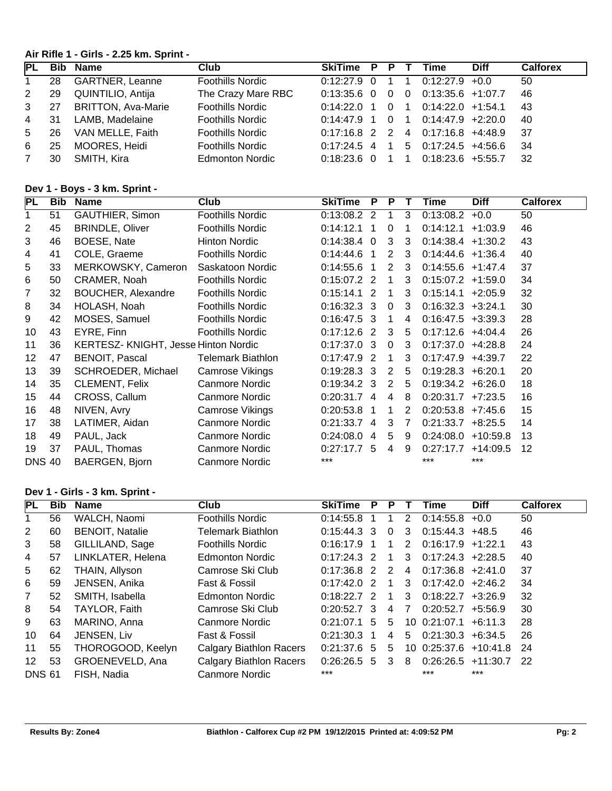# **Air Rifle 1 - Girls - 2.25 km. Sprint -**

| <b>PL</b>      | <b>Bib</b> | Name                      | Club                    | SkiTime         | P. | P        |                | Time                | <b>Diff</b> | <b>Calforex</b> |
|----------------|------------|---------------------------|-------------------------|-----------------|----|----------|----------------|---------------------|-------------|-----------------|
| $\mathbf{1}$   | 28         | <b>GARTNER, Leanne</b>    | <b>Foothills Nordic</b> | $0:12:27.9$ 0   |    |          |                | $0:12:27.9$ +0.0    |             | 50              |
| 2              | 29         | QUINTILIO, Antija         | The Crazy Mare RBC      | $0:13:35.6$ 0   |    | $\Omega$ | $\Omega$       | $0:13:35.6$ +1:07.7 |             | 46              |
| $\mathbf{3}$   | 27         | <b>BRITTON, Ava-Marie</b> | <b>Foothills Nordic</b> | $0.14,22.0$ 1   |    | - 0      | $\overline{1}$ | $0:14:22.0 +1:54.1$ |             | 43              |
| $\overline{4}$ | -31        | LAMB, Madelaine           | <b>Foothills Nordic</b> | $0:14:47.9$ 1 0 |    |          | $\overline{1}$ | $0:14:47.9$ +2:20.0 |             | 40              |
| 5              | 26         | VAN MELLE, Faith          | <b>Foothills Nordic</b> | $0.17.16.8$ 2 2 |    |          |                | 4 0:17:16.8 +4:48.9 |             | -37             |
| 6              | 25         | MOORES, Heidi             | <b>Foothills Nordic</b> | $0:17:24.5$ 4   |    | -1       | 5              | $0:17:24.5$ +4:56.6 |             | -34             |
|                | 30         | SMITH, Kira               | <b>Edmonton Nordic</b>  | $0:18:23.6$ 0   |    |          |                | $0:18:23.6$ +5:55.7 |             | -32             |

# **Dev 1 - Boys - 3 km. Sprint -**

| PL             | <b>Bib</b> | <b>Name</b>                         | Club                     | <b>SkiTime</b> | P              | P            |    | Time                  | <b>Diff</b> | <b>Calforex</b> |
|----------------|------------|-------------------------------------|--------------------------|----------------|----------------|--------------|----|-----------------------|-------------|-----------------|
| 1              | 51         | GAUTHIER, Simon                     | Foothills Nordic         | 0:13:08.2 2    |                | 1            | 3  | 0:13:08.2             | $+0.0$      | 50              |
| $\overline{2}$ | 45         | <b>BRINDLE, Oliver</b>              | <b>Foothills Nordic</b>  | 0:14:12.1      | -1             | $\mathbf{0}$ |    | 0:14:12.1             | $+1:03.9$   | 46              |
| 3              | 46         | BOESE, Nate                         | Hinton Nordic            | $0:14:38.4$ 0  |                | 3            | 3  | $0:14:38.4$ +1:30.2   |             | 43              |
| 4              | 41         | COLE, Graeme                        | <b>Foothills Nordic</b>  | 0.14.44.6      | $\mathbf{1}$   | 2            | 3  | $0:14:44.6$ +1:36.4   |             | 40              |
| 5              | 33         | MERKOWSKY, Cameron                  | Saskatoon Nordic         | 0:14:55.6      | $\overline{1}$ | 2            | 3  | $0:14:55.6$ +1:47.4   |             | 37              |
| 6              | 50         | CRAMER, Noah                        | Foothills Nordic         | $0:15:07.2$ 2  |                | 1            | 3  | $0:15:07.2$ +1:59.0   |             | 34              |
| 7              | 32         | BOUCHER, Alexandre                  | <b>Foothills Nordic</b>  | $0:15:14.1$ 2  |                | 1            | 3  | $0:15:14.1 + 2:05.9$  |             | 32              |
| 8              | 34         | HOLASH, Noah                        | <b>Foothills Nordic</b>  | $0:16:32.3$ 3  |                | $\Omega$     | 3  | $0:16:32.3$ +3:24.1   |             | 30              |
| 9              | 42         | MOSES, Samuel                       | <b>Foothills Nordic</b>  | $0:16:47.5$ 3  |                | $\mathbf 1$  | 4  | $0:16:47.5$ +3:39.3   |             | 28              |
| 10             | 43         | EYRE, Finn                          | <b>Foothills Nordic</b>  | $0:17:12.6$ 2  |                | 3            | 5  | $0:17:12.6$ +4:04.4   |             | 26              |
| 11             | 36         | KERTESZ-KNIGHT, Jesse Hinton Nordic |                          | $0:17:37.0$ 3  |                | $\Omega$     | 3  | $0:17:37.0$ +4:28.8   |             | 24              |
| 12             | 47         | BENOIT, Pascal                      | <b>Telemark Biathlon</b> | $0:17:47.9$ 2  |                | 1            | 3  | $0:17:47.9$ +4:39.7   |             | 22              |
| 13             | 39         | SCHROEDER, Michael                  | Camrose Vikings          | $0:19:28.3$ 3  |                | 2            | 5  | $0:19:28.3 + 6:20.1$  |             | 20              |
| 14             | 35         | <b>CLEMENT, Felix</b>               | <b>Canmore Nordic</b>    | $0:19:34.2$ 3  |                | 2            | -5 | $0:19:34.2 + 6:26.0$  |             | 18              |
| 15             | 44         | CROSS, Callum                       | <b>Canmore Nordic</b>    | 0:20:31.7 4    |                | 4            | 8  | $0:20:31.7$ +7:23.5   |             | 16              |
| 16             | 48         | NIVEN, Avry                         | Camrose Vikings          | 0:20:53.8      | 1              | 1            | 2  | $0:20:53.8$ +7:45.6   |             | 15              |
| 17             | 38         | LATIMER, Aidan                      | Canmore Nordic           | $0:21:33.7$ 4  |                | 3            | 7  | $0:21:33.7$ +8:25.5   |             | 14              |
| 18             | 49         | PAUL, Jack                          | Canmore Nordic           | 0.24:08.0      | $\overline{4}$ | 5            | 9  | $0:24:08.0 + 10:59.8$ |             | 13              |
| 19             | 37         | PAUL, Thomas                        | Canmore Nordic           | $0:27:17.7$ 5  |                | 4            | 9  | 0:27:17.7             | $+14:09.5$  | 12 <sup>2</sup> |
| <b>DNS 40</b>  |            | BAERGEN, Bjorn                      | <b>Canmore Nordic</b>    | $***$          |                |              |    | ***                   | $***$       |                 |

# **Dev 1 - Girls - 3 km. Sprint -**

| PL            | <b>Bib</b> | <b>Name</b>            | Club                           | <b>SkiTime</b> | Р  | P |               | Time                | <b>Diff</b> | <b>Calforex</b> |
|---------------|------------|------------------------|--------------------------------|----------------|----|---|---------------|---------------------|-------------|-----------------|
|               | 56         | WALCH, Naomi           | <b>Foothills Nordic</b>        | 0:14:55.8      |    |   | $\mathcal{P}$ | 0:14:55.8           | $+0.0$      | 50              |
| 2             | 60         | <b>BENOIT, Natalie</b> | <b>Telemark Biathlon</b>       | $0:15:44.3$ 3  |    | 0 | 3             | $0:15:44.3$ +48.5   |             | 46              |
| 3             | 58         | GILLILAND, Sage        | <b>Foothills Nordic</b>        | 0:16:17.9      |    |   | $\mathcal{P}$ | 0:16:17.9           | $+1:22.1$   | 43              |
| 4             | 57         | LINKLATER, Helena      | <b>Edmonton Nordic</b>         | $0:17:24.3$ 2  |    |   | 3             | $0:17:24.3$ +2:28.5 |             | 40              |
| 5             | 62         | THAIN, Allyson         | Camrose Ski Club               | $0:17:36.8$ 2  |    | 2 | 4             | $0:17:36.8$ +2:41.0 |             | 37              |
| 6             | 59         | JENSEN, Anika          | Fast & Fossil                  | 0:17:42.0      | -2 |   | 3             | 0:17:42.0           | $+2:46.2$   | 34              |
| 7             | 52         | SMITH, Isabella        | <b>Edmonton Nordic</b>         | $0:18:22.7$ 2  |    |   | 3             | 0:18:22.7           | $+3:26.9$   | 32              |
| 8             | 54         | TAYLOR, Faith          | Camrose Ski Club               | $0:20:52.7$ 3  |    | 4 | 7             | 0:20:52.7           | $+5:56.9$   | 30              |
| 9             | 63         | MARINO, Anna           | Canmore Nordic                 | 0:21:07.1      | 5  | 5 | 10.           | 0:21:07.1           | $+6:11.3$   | 28              |
| 10            | 64         | JENSEN, Liv            | Fast & Fossil                  | 0:21:30.3      |    | 4 | 5             | 0:21:30.3           | $+6:34.5$   | 26              |
| 11            | 55         | THOROGOOD, Keelyn      | Calgary Biathlon Racers        | 0.21.37.6      | -5 | 5 | 10.           | 0:25:37.6           | $+10:41.8$  | -24             |
| 12            | 53         | GROENEVELD, Ana        | <b>Calgary Biathlon Racers</b> | 0:26:26.5      | 5  | 3 | 8             | 0:26:26.5           | $+11:30.7$  | 22              |
| <b>DNS 61</b> |            | FISH, Nadia            | Canmore Nordic                 | $***$          |    |   |               | $***$               | ***         |                 |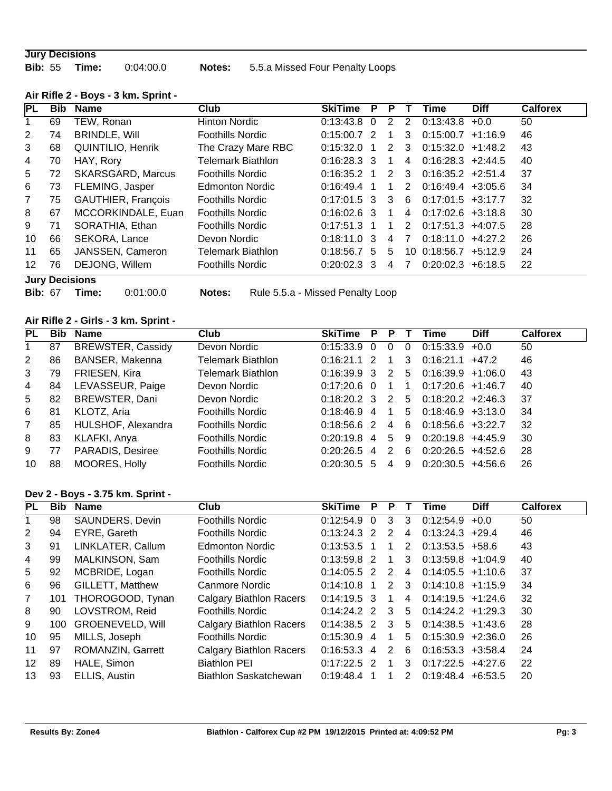#### **Jury Decisions**

**Bib:** 55 **Time:** 0:04:00.0 **Notes:** 5.5.a Missed Four Penalty Loops

| <b>PL</b>      | <b>Bib</b> | <b>Name</b>              | Club                     | <b>SkiTime</b> | P        | P             |                | Time                | <b>Diff</b> | <b>Calforex</b> |
|----------------|------------|--------------------------|--------------------------|----------------|----------|---------------|----------------|---------------------|-------------|-----------------|
|                | 69         | TEW, Ronan               | Hinton Nordic            | 0:13:43.8      | $\Omega$ | 2             | 2              | 0:13:43.8           | $+0.0$      | 50              |
| 2              | 74         | <b>BRINDLE, Will</b>     | <b>Foothills Nordic</b>  | 0:15:00.7      | - 2      |               | 3              | 0:15:00.7           | $+1:16.9$   | 46              |
| 3              | 68         | <b>QUINTILIO, Henrik</b> | The Crazy Mare RBC       | 0:15:32.0      |          | $\mathcal{P}$ | 3              | 0:15:32.0           | $+1:48.2$   | 43              |
| 4              | 70         | HAY, Rory                | Telemark Biathlon        | $0:16:28.3$ 3  |          | 1             | 4              | $0:16:28.3$ +2:44.5 |             | 40              |
| 5              | 72         | <b>SKARSGARD, Marcus</b> | <b>Foothills Nordic</b>  | 0:16:35.2      |          | 2             | 3              | $0:16:35.2 +2:51.4$ |             | 37              |
| 6              | 73         | FLEMING, Jasper          | <b>Edmonton Nordic</b>   | 0:16:49.4      |          | 1             | 2              | $0:16:49.4$ +3:05.6 |             | 34              |
| $\overline{7}$ | 75         | GAUTHIER, François       | <b>Foothills Nordic</b>  | $0:17:01.5$ 3  |          | 3             | 6              | $0:17:01.5$ +3:17.7 |             | 32              |
| 8              | 67         | MCCORKINDALE, Euan       | <b>Foothills Nordic</b>  | $0:16:02.6$ 3  |          | 1             | $\overline{4}$ | $0:17:02.6$ +3:18.8 |             | 30              |
| 9              | 71         | SORATHIA, Ethan          | <b>Foothills Nordic</b>  | 0:17:51.3      |          | 1             | $\mathcal{P}$  | 0:17:51.3           | $+4:07.5$   | 28              |
| 10             | 66         | SEKORA, Lance            | Devon Nordic             | 0:18:11.0      | -3       | 4             | 7              | 0:18:11.0           | $+4:27.2$   | 26              |
| 11             | 65         | JANSSEN, Cameron         | <b>Telemark Biathlon</b> | 0:18:56.7      | 5        | 5             |                | 10 0:18:56.7        | $+5:12.9$   | 24              |
| 12             | 76         | DEJONG, Willem           | <b>Foothills Nordic</b>  | 0:20:02.3      | - 3      | 4             |                | 0:20:02.3           | $+6:18.5$   | 22              |
|                |            |                          |                          |                |          |               |                |                     |             |                 |

# **Air Rifle 2 - Boys - 3 km. Sprint -**

# **Jury Decisions**

**Bib:** 67 **Time:** 0:01:00.0 **Notes:** Rule 5.5.a - Missed Penalty Loop

# **Air Rifle 2 - Girls - 3 km. Sprint -**

| PL             | <b>Bib</b> | Name                     | Club                     | <b>SkiTime</b> | P             | P |          | Time                | <b>Diff</b> | <b>Calforex</b> |
|----------------|------------|--------------------------|--------------------------|----------------|---------------|---|----------|---------------------|-------------|-----------------|
|                | 87         | <b>BREWSTER, Cassidy</b> | Devon Nordic             | 0:15:33.9      | $\Omega$      | 0 | $\Omega$ | 0:15:33.9           | $+0.0$      | 50              |
| 2              | 86         | BANSER, Makenna          | <b>Telemark Biathlon</b> | 0:16:21.1      | 2             |   | 3        | 0:16:21.1           | $+47.2$     | 46              |
| 3              | 79         | FRIESEN, Kira            | Telemark Biathlon        | 0:16:39.9      | -3            | 2 | 5        | $0:16:39.9 +1:06.0$ |             | 43              |
| 4              | 84         | LEVASSEUR, Paige         | Devon Nordic             | 0:17:20.6      | $\Omega$      |   |          | $0:17:20.6$ +1:46.7 |             | 40              |
| 5              | 82         | BREWSTER, Dani           | Devon Nordic             | $0:18:20.2$ 3  |               | 2 | 5        | $0:18:20.2$ +2:46.3 |             | 37              |
| 6              | 81         | KLOTZ, Aria              | <b>Foothills Nordic</b>  | 0:18:46.9      | 4             |   | 5        | $0:18:46.9$ +3:13.0 |             | 34              |
| $\overline{7}$ | 85         | HULSHOF, Alexandra       | <b>Foothills Nordic</b>  | 0:18:56.6      | $\mathcal{P}$ | 4 | 6        | $0:18:56.6$ +3:22.7 |             | 32              |
| 8              | 83         | KLAFKI, Anya             | <b>Foothills Nordic</b>  | 0:20:19.8      | 4             | 5 | 9        | 0:20:19.8           | $+4:45.9$   | 30              |
| 9              | 77         | PARADIS, Desiree         | <b>Foothills Nordic</b>  | 0:20:26.5      | 4             | 2 | 6        | 0:20:26.5           | $+4:52.6$   | 28              |
| 10             | 88         | MOORES, Holly            | <b>Foothills Nordic</b>  | 0:20:30.5      | 5             | 4 | 9        | 0:20:30.5           | +4:56.6     | 26              |

#### **Dev 2 - Boys - 3.75 km. Sprint -**

| PL              | <b>Bib</b> | <b>Name</b>             | Club                           | <b>SkiTime</b> | P              | P |   | Time                 | <b>Diff</b> | <b>Calforex</b> |
|-----------------|------------|-------------------------|--------------------------------|----------------|----------------|---|---|----------------------|-------------|-----------------|
|                 | 98         | SAUNDERS, Devin         | <b>Foothills Nordic</b>        | 0.12.54.9      | $\Omega$       | 3 | 3 | $0:12:54.9$ +0.0     |             | 50              |
| 2               | 94         | EYRE, Gareth            | <b>Foothills Nordic</b>        | 0:13:24.3      | 2              | 2 | 4 | $0:13:24.3$ +29.4    |             | 46              |
| 3               | 91         | LINKLATER, Callum       | <b>Edmonton Nordic</b>         | 0.13.53.5      | 1              |   | 2 | $0:13:53.5$ +58.6    |             | 43              |
| 4               | 99         | MALKINSON, Sam          | <b>Foothills Nordic</b>        | $0:13:59.8$ 2  |                |   | 3 | $0:13:59.8$ +1:04.9  |             | 40              |
| 5               | 92         | MCBRIDE, Logan          | <b>Foothills Nordic</b>        | $0:14:05.5$ 2  |                | 2 | 4 | $0:14:05.5$ +1:10.6  |             | 37              |
| 6               | 96         | <b>GILLETT, Matthew</b> | Canmore Nordic                 | 0:14:10.8      |                | 2 | 3 | $0:14:10.8$ +1:15.9  |             | 34              |
| $\overline{7}$  | 101        | THOROGOOD, Tynan        | Calgary Biathlon Racers        | $0:14:19.5$ 3  |                |   | 4 | $0:14:19.5$ +1:24.6  |             | 32              |
| 8               | 90         | LOVSTROM, Reid          | <b>Foothills Nordic</b>        | $0:14:24.2$ 2  |                | 3 | 5 | $0:14:24.2 + 1:29.3$ |             | 30              |
| 9               | 100        | <b>GROENEVELD, Will</b> | <b>Calgary Biathlon Racers</b> | $0:14:38.5$ 2  |                | 3 | 5 | $0:14:38.5 +1:43.6$  |             | 28              |
| 10              | 95         | MILLS, Joseph           | <b>Foothills Nordic</b>        | 0:15:30.9      | $\overline{4}$ | 1 | 5 | $0:15:30.9$ +2:36.0  |             | 26              |
| 11              | 97         | ROMANZIN, Garrett       | <b>Calgary Biathlon Racers</b> | 0:16:53.3 4    |                | 2 | 6 | $0:16:53.3 + 3:58.4$ |             | 24              |
| 12 <sup>°</sup> | 89         | HALE, Simon             | <b>Biathlon PEI</b>            | $0:17:22.5$ 2  |                | 1 | 3 | $0:17:22.5$ +4:27.6  |             | 22              |
| 13              | 93         | ELLIS, Austin           | Biathlon Saskatchewan          | 0:19:48.4      |                |   | 2 | $0:19:48.4$ +6:53.5  |             | 20              |